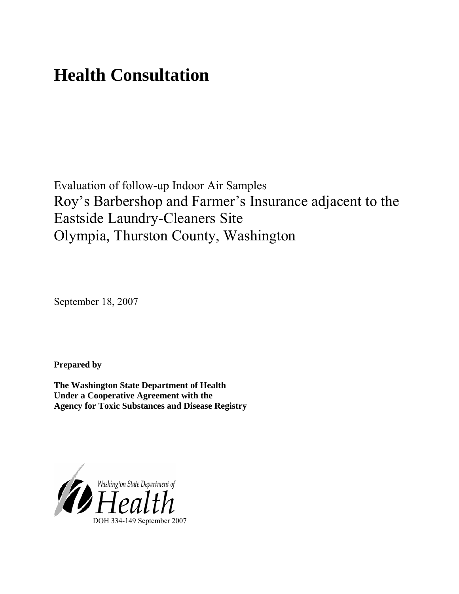# **Health Consultation**

Evaluation of follow-up Indoor Air Samples Roy's Barbershop and Farmer's Insurance adjacent to the Eastside Laundry-Cleaners Site Olympia, Thurston County, Washington

September 18, 2007

**Prepared by** 

**The Washington State Department of Health Under a Cooperative Agreement with the Agency for Toxic Substances and Disease Registry**

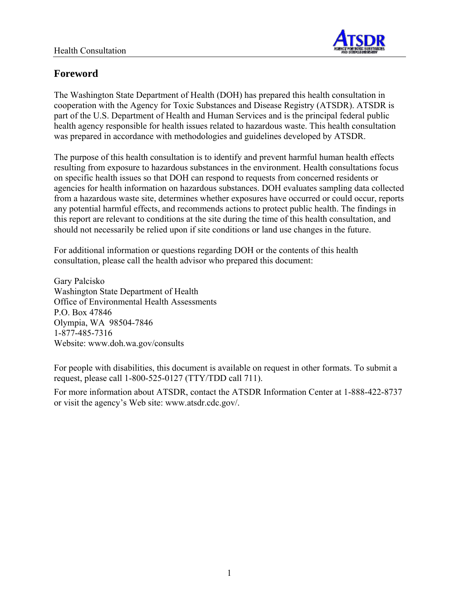

# **Foreword**

The Washington State Department of Health (DOH) has prepared this health consultation in cooperation with the Agency for Toxic Substances and Disease Registry (ATSDR). ATSDR is part of the U.S. Department of Health and Human Services and is the principal federal public health agency responsible for health issues related to hazardous waste. This health consultation was prepared in accordance with methodologies and guidelines developed by ATSDR.

The purpose of this health consultation is to identify and prevent harmful human health effects resulting from exposure to hazardous substances in the environment. Health consultations focus on specific health issues so that DOH can respond to requests from concerned residents or agencies for health information on hazardous substances. DOH evaluates sampling data collected from a hazardous waste site, determines whether exposures have occurred or could occur, reports any potential harmful effects, and recommends actions to protect public health. The findings in this report are relevant to conditions at the site during the time of this health consultation, and should not necessarily be relied upon if site conditions or land use changes in the future.

For additional information or questions regarding DOH or the contents of this health consultation, please call the health advisor who prepared this document:

Gary Palcisko Washington State Department of Health Office of Environmental Health Assessments P.O. Box 47846 Olympia, WA 98504-7846 1-877-485-7316 Website: www.doh.wa.gov/consults

For people with disabilities, this document is available on request in other formats. To submit a request, please call 1-800-525-0127 (TTY/TDD call 711).

For more information about ATSDR, contact the ATSDR Information Center at 1-888-422-8737 or visit the agency's Web site: www.atsdr.cdc.gov/.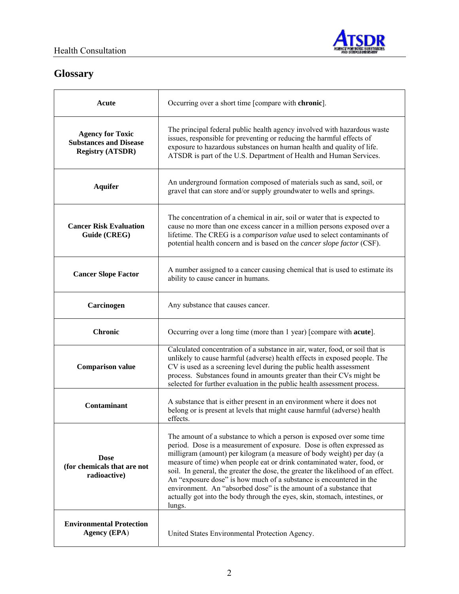

# **Glossary**

| Acute                                                                               | Occurring over a short time [compare with chronic].                                                                                                                                                                                                                                                                                                                                                                                                                                                                                                                                                                       |
|-------------------------------------------------------------------------------------|---------------------------------------------------------------------------------------------------------------------------------------------------------------------------------------------------------------------------------------------------------------------------------------------------------------------------------------------------------------------------------------------------------------------------------------------------------------------------------------------------------------------------------------------------------------------------------------------------------------------------|
| <b>Agency for Toxic</b><br><b>Substances and Disease</b><br><b>Registry (ATSDR)</b> | The principal federal public health agency involved with hazardous waste<br>issues, responsible for preventing or reducing the harmful effects of<br>exposure to hazardous substances on human health and quality of life.<br>ATSDR is part of the U.S. Department of Health and Human Services.                                                                                                                                                                                                                                                                                                                          |
| <b>Aquifer</b>                                                                      | An underground formation composed of materials such as sand, soil, or<br>gravel that can store and/or supply groundwater to wells and springs.                                                                                                                                                                                                                                                                                                                                                                                                                                                                            |
| <b>Cancer Risk Evaluation</b><br>Guide (CREG)                                       | The concentration of a chemical in air, soil or water that is expected to<br>cause no more than one excess cancer in a million persons exposed over a<br>lifetime. The CREG is a <i>comparison value</i> used to select contaminants of<br>potential health concern and is based on the <i>cancer slope factor</i> (CSF).                                                                                                                                                                                                                                                                                                 |
| <b>Cancer Slope Factor</b>                                                          | A number assigned to a cancer causing chemical that is used to estimate its<br>ability to cause cancer in humans.                                                                                                                                                                                                                                                                                                                                                                                                                                                                                                         |
| Carcinogen                                                                          | Any substance that causes cancer.                                                                                                                                                                                                                                                                                                                                                                                                                                                                                                                                                                                         |
|                                                                                     |                                                                                                                                                                                                                                                                                                                                                                                                                                                                                                                                                                                                                           |
| <b>Chronic</b>                                                                      | Occurring over a long time (more than 1 year) [compare with <b>acute</b> ].                                                                                                                                                                                                                                                                                                                                                                                                                                                                                                                                               |
| <b>Comparison value</b>                                                             | Calculated concentration of a substance in air, water, food, or soil that is<br>unlikely to cause harmful (adverse) health effects in exposed people. The<br>CV is used as a screening level during the public health assessment<br>process. Substances found in amounts greater than their CVs might be<br>selected for further evaluation in the public health assessment process.                                                                                                                                                                                                                                      |
| Contaminant                                                                         | A substance that is either present in an environment where it does not<br>belong or is present at levels that might cause harmful (adverse) health<br>effects.                                                                                                                                                                                                                                                                                                                                                                                                                                                            |
| <b>Dose</b><br>(for chemicals that are not<br>radioactive)                          | The amount of a substance to which a person is exposed over some time<br>period. Dose is a measurement of exposure. Dose is often expressed as<br>milligram (amount) per kilogram (a measure of body weight) per day (a<br>measure of time) when people eat or drink contaminated water, food, or<br>soil. In general, the greater the dose, the greater the likelihood of an effect.<br>An "exposure dose" is how much of a substance is encountered in the<br>environment. An "absorbed dose" is the amount of a substance that<br>actually got into the body through the eyes, skin, stomach, intestines, or<br>lungs. |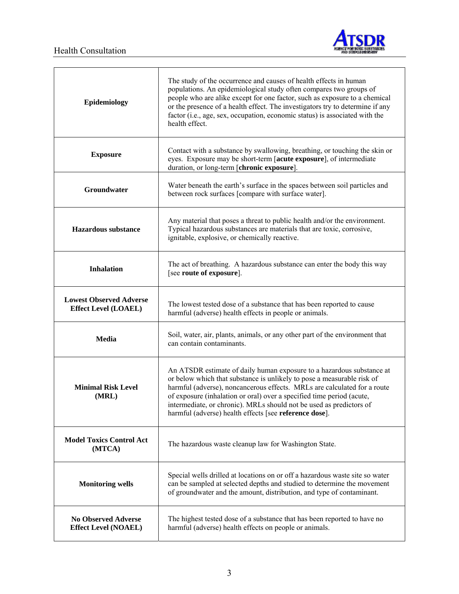

 $\mathbf{r}$ 



٦

| Epidemiology                                                  | The study of the occurrence and causes of health effects in human<br>populations. An epidemiological study often compares two groups of<br>people who are alike except for one factor, such as exposure to a chemical<br>or the presence of a health effect. The investigators try to determine if any<br>factor (i.e., age, sex, occupation, economic status) is associated with the<br>health effect.                               |
|---------------------------------------------------------------|---------------------------------------------------------------------------------------------------------------------------------------------------------------------------------------------------------------------------------------------------------------------------------------------------------------------------------------------------------------------------------------------------------------------------------------|
| <b>Exposure</b>                                               | Contact with a substance by swallowing, breathing, or touching the skin or<br>eyes. Exposure may be short-term [acute exposure], of intermediate<br>duration, or long-term [chronic exposure].                                                                                                                                                                                                                                        |
| Groundwater                                                   | Water beneath the earth's surface in the spaces between soil particles and<br>between rock surfaces [compare with surface water].                                                                                                                                                                                                                                                                                                     |
| <b>Hazardous</b> substance                                    | Any material that poses a threat to public health and/or the environment.<br>Typical hazardous substances are materials that are toxic, corrosive,<br>ignitable, explosive, or chemically reactive.                                                                                                                                                                                                                                   |
| <b>Inhalation</b>                                             | The act of breathing. A hazardous substance can enter the body this way<br>[see route of exposure].                                                                                                                                                                                                                                                                                                                                   |
| <b>Lowest Observed Adverse</b><br><b>Effect Level (LOAEL)</b> | The lowest tested dose of a substance that has been reported to cause<br>harmful (adverse) health effects in people or animals.                                                                                                                                                                                                                                                                                                       |
| <b>Media</b>                                                  | Soil, water, air, plants, animals, or any other part of the environment that<br>can contain contaminants.                                                                                                                                                                                                                                                                                                                             |
| <b>Minimal Risk Level</b><br>(MRL)                            | An ATSDR estimate of daily human exposure to a hazardous substance at<br>or below which that substance is unlikely to pose a measurable risk of<br>harmful (adverse), noncancerous effects. MRLs are calculated for a route<br>of exposure (inhalation or oral) over a specified time period (acute,<br>intermediate, or chronic). MRLs should not be used as predictors of<br>harmful (adverse) health effects [see reference dose]. |
| <b>Model Toxics Control Act</b><br>(MTCA)                     | The hazardous waste cleanup law for Washington State.                                                                                                                                                                                                                                                                                                                                                                                 |
| <b>Monitoring wells</b>                                       | Special wells drilled at locations on or off a hazardous waste site so water<br>can be sampled at selected depths and studied to determine the movement<br>of groundwater and the amount, distribution, and type of contaminant.                                                                                                                                                                                                      |
| <b>No Observed Adverse</b><br><b>Effect Level (NOAEL)</b>     | The highest tested dose of a substance that has been reported to have no<br>harmful (adverse) health effects on people or animals.                                                                                                                                                                                                                                                                                                    |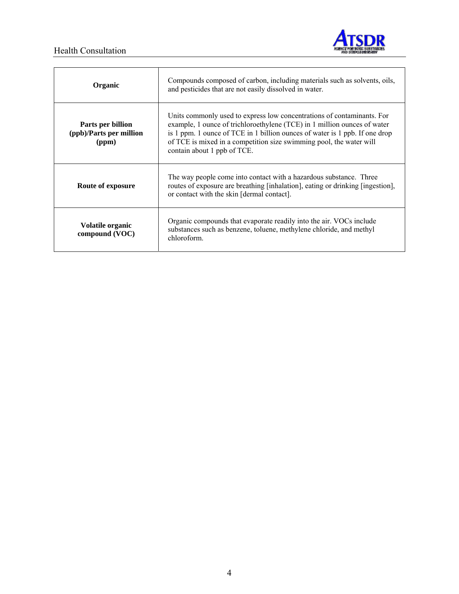### Health Consultation



| Organic                                               | Compounds composed of carbon, including materials such as solvents, oils,<br>and pesticides that are not easily dissolved in water.                                                                                                                                                                                                     |  |  |
|-------------------------------------------------------|-----------------------------------------------------------------------------------------------------------------------------------------------------------------------------------------------------------------------------------------------------------------------------------------------------------------------------------------|--|--|
| Parts per billion<br>(ppb)/Parts per million<br>(ppm) | Units commonly used to express low concentrations of contaminants. For<br>example, 1 ounce of trichloroethylene (TCE) in 1 million ounces of water<br>is 1 ppm. 1 ounce of TCE in 1 billion ounces of water is 1 ppb. If one drop<br>of TCE is mixed in a competition size swimming pool, the water will<br>contain about 1 ppb of TCE. |  |  |
| Route of exposure                                     | The way people come into contact with a hazardous substance. Three<br>routes of exposure are breathing [inhalation], eating or drinking [ingestion],<br>or contact with the skin [dermal contact].                                                                                                                                      |  |  |
| Volatile organic<br>compound (VOC)                    | Organic compounds that evaporate readily into the air. VOCs include<br>substances such as benzene, toluene, methylene chloride, and methyl<br>chloroform.                                                                                                                                                                               |  |  |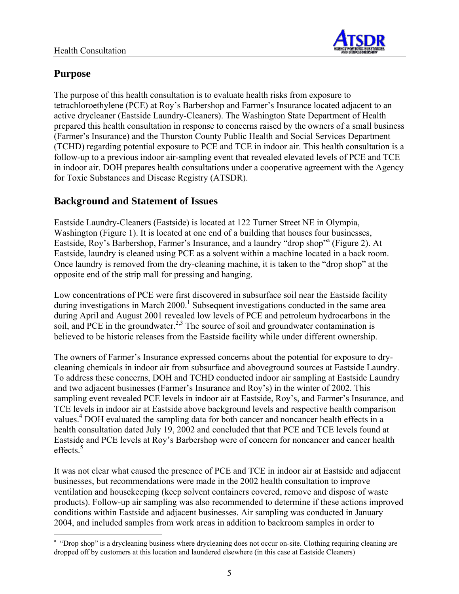

# **Purpose**

The purpose of this health consultation is to evaluate health risks from exposure to tetrachloroethylene (PCE) at Roy's Barbershop and Farmer's Insurance located adjacent to an active drycleaner (Eastside Laundry-Cleaners). The Washington State Department of Health prepared this health consultation in response to concerns raised by the owners of a small business (Farmer's Insurance) and the Thurston County Public Health and Social Services Department (TCHD) regarding potential exposure to PCE and TCE in indoor air. This health consultation is a follow-up to a previous indoor air-sampling event that revealed elevated levels of PCE and TCE in indoor air. DOH prepares health consultations under a cooperative agreement with the Agency for Toxic Substances and Disease Registry (ATSDR).

# **Background and Statement of Issues**

Eastside Laundry-Cleaners (Eastside) is located at 122 Turner Street NE in Olympia, Washington (Figure 1). It is located at one end of a building that houses four businesses, Eastside, Roy's Barbershop, Farmer's Insurance, and a laundry "drop shop"a (Figure 2). At Eastside, laundry is cleaned using PCE as a solvent within a machine located in a back room. Once laundry is removed from the dry-cleaning machine, it is taken to the "drop shop" at the opposite end of the strip mall for pressing and hanging.

Low concentrations of PCE were first discovered in subsurface soil near the Eastside facility during investigations in March 2000.<sup>1</sup> Subsequent investigations conducted in the same area during April and August 2001 revealed low levels of PCE and petroleum hydrocarbons in the soil, and PCE in the groundwater.<sup>2,3</sup> The source of soil and groundwater contamination is believed to be historic releases from the Eastside facility while under different ownership.

The owners of Farmer's Insurance expressed concerns about the potential for exposure to drycleaning chemicals in indoor air from subsurface and aboveground sources at Eastside Laundry. To address these concerns, DOH and TCHD conducted indoor air sampling at Eastside Laundry and two adjacent businesses (Farmer's Insurance and Roy's) in the winter of 2002. This sampling event revealed PCE levels in indoor air at Eastside, Roy's, and Farmer's Insurance, and TCE levels in indoor air at Eastside above background levels and respective health comparison values.<sup>4</sup> DOH evaluated the sampling data for both cancer and noncancer health effects in a health consultation dated July 19, 2002 and concluded that that PCE and TCE levels found at Eastside and PCE levels at Roy's Barbershop were of concern for noncancer and cancer health effects. $5$ 

It was not clear what caused the presence of PCE and TCE in indoor air at Eastside and adjacent businesses, but recommendations were made in the 2002 health consultation to improve ventilation and housekeeping (keep solvent containers covered, remove and dispose of waste products). Follow-up air sampling was also recommended to determine if these actions improved conditions within Eastside and adjacent businesses. Air sampling was conducted in January 2004, and included samples from work areas in addition to backroom samples in order to

 $\overline{a}$ <sup>a</sup> "Drop shop" is a drycleaning business where drycleaning does not occur on-site. Clothing requiring cleaning are dropped off by customers at this location and laundered elsewhere (in this case at Eastside Cleaners)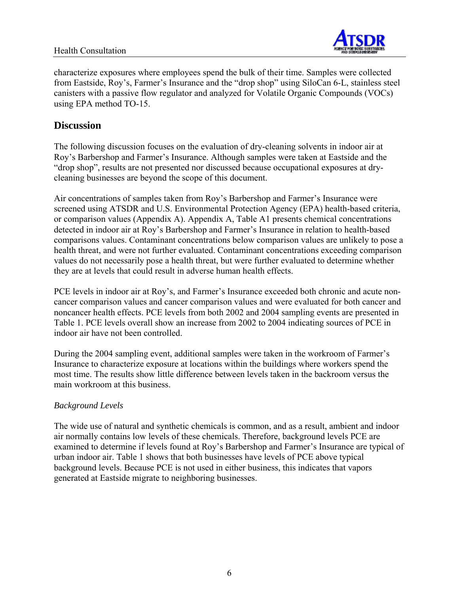#### Health Consultation



characterize exposures where employees spend the bulk of their time. Samples were collected from Eastside, Roy's, Farmer's Insurance and the "drop shop" using SiloCan 6-L, stainless steel canisters with a passive flow regulator and analyzed for Volatile Organic Compounds (VOCs) using EPA method TO-15.

## **Discussion**

The following discussion focuses on the evaluation of dry-cleaning solvents in indoor air at Roy's Barbershop and Farmer's Insurance. Although samples were taken at Eastside and the "drop shop", results are not presented nor discussed because occupational exposures at drycleaning businesses are beyond the scope of this document.

Air concentrations of samples taken from Roy's Barbershop and Farmer's Insurance were screened using ATSDR and U.S. Environmental Protection Agency (EPA) health-based criteria, or comparison values (Appendix A). Appendix A, Table A1 presents chemical concentrations detected in indoor air at Roy's Barbershop and Farmer's Insurance in relation to health-based comparisons values. Contaminant concentrations below comparison values are unlikely to pose a health threat, and were not further evaluated. Contaminant concentrations exceeding comparison values do not necessarily pose a health threat, but were further evaluated to determine whether they are at levels that could result in adverse human health effects.

PCE levels in indoor air at Roy's, and Farmer's Insurance exceeded both chronic and acute noncancer comparison values and cancer comparison values and were evaluated for both cancer and noncancer health effects. PCE levels from both 2002 and 2004 sampling events are presented in Table 1. PCE levels overall show an increase from 2002 to 2004 indicating sources of PCE in indoor air have not been controlled.

During the 2004 sampling event, additional samples were taken in the workroom of Farmer's Insurance to characterize exposure at locations within the buildings where workers spend the most time. The results show little difference between levels taken in the backroom versus the main workroom at this business.

#### *Background Levels*

The wide use of natural and synthetic chemicals is common, and as a result, ambient and indoor air normally contains low levels of these chemicals. Therefore, background levels PCE are examined to determine if levels found at Roy's Barbershop and Farmer's Insurance are typical of urban indoor air. Table 1 shows that both businesses have levels of PCE above typical background levels. Because PCE is not used in either business, this indicates that vapors generated at Eastside migrate to neighboring businesses.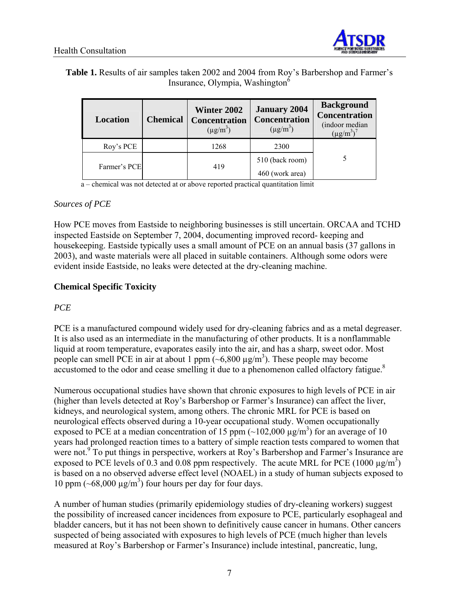

## **Table 1.** Results of air samples taken 2002 and 2004 from Roy's Barbershop and Farmer's Insurance, Olympia, Washington6

| <b>Location</b> | <b>Chemical</b> | <b>Winter 2002</b><br><b>Concentration</b><br>$(\mu g/m^3)$ | <b>January 2004</b><br><b>Concentration</b><br>$(\mu g/m^3)$ | <b>Background</b><br>Concentration<br>(indoor median<br>$(\mu g/m^3)^7$ |  |
|-----------------|-----------------|-------------------------------------------------------------|--------------------------------------------------------------|-------------------------------------------------------------------------|--|
| Roy's PCE       |                 | 1268                                                        | 2300                                                         |                                                                         |  |
|                 |                 |                                                             | 510 (back room)                                              |                                                                         |  |
| Farmer's PCE    |                 | 419                                                         | 460 (work area)                                              |                                                                         |  |

a – chemical was not detected at or above reported practical quantitation limit

#### *Sources of PCE*

How PCE moves from Eastside to neighboring businesses is still uncertain. ORCAA and TCHD inspected Eastside on September 7, 2004, documenting improved record- keeping and housekeeping. Eastside typically uses a small amount of PCE on an annual basis (37 gallons in 2003), and waste materials were all placed in suitable containers. Although some odors were evident inside Eastside, no leaks were detected at the dry-cleaning machine.

## **Chemical Specific Toxicity**

#### *PCE*

PCE is a manufactured compound widely used for dry-cleaning fabrics and as a metal degreaser. It is also used as an intermediate in the manufacturing of other products. It is a nonflammable liquid at room temperature, evaporates easily into the air, and has a sharp, sweet odor. Most people can smell PCE in air at about 1 ppm  $(-6,800 \mu g/m<sup>3</sup>)$ . These people may become accustomed to the odor and cease smelling it due to a phenomenon called olfactory fatigue. $8$ 

Numerous occupational studies have shown that chronic exposures to high levels of PCE in air (higher than levels detected at Roy's Barbershop or Farmer's Insurance) can affect the liver, kidneys, and neurological system, among others. The chronic MRL for PCE is based on neurological effects observed during a 10-year occupational study. Women occupationally exposed to PCE at a median concentration of 15 ppm  $(\sim 102,000 \text{ }\mu\text{g/m}^3)$  for an average of 10 years had prolonged reaction times to a battery of simple reaction tests compared to women that were not.<sup>9</sup> To put things in perspective, workers at Roy's Barbershop and Farmer's Insurance are exposed to PCE levels of 0.3 and 0.08 ppm respectively. The acute MRL for PCE (1000  $\mu$ g/m<sup>3</sup>) is based on a no observed adverse effect level (NOAEL) in a study of human subjects exposed to 10 ppm  $({\sim}68,000 \text{ µg/m}^3)$  four hours per day for four days.

A number of human studies (primarily epidemiology studies of dry-cleaning workers) suggest the possibility of increased cancer incidences from exposure to PCE, particularly esophageal and bladder cancers, but it has not been shown to definitively cause cancer in humans. Other cancers suspected of being associated with exposures to high levels of PCE (much higher than levels measured at Roy's Barbershop or Farmer's Insurance) include intestinal, pancreatic, lung,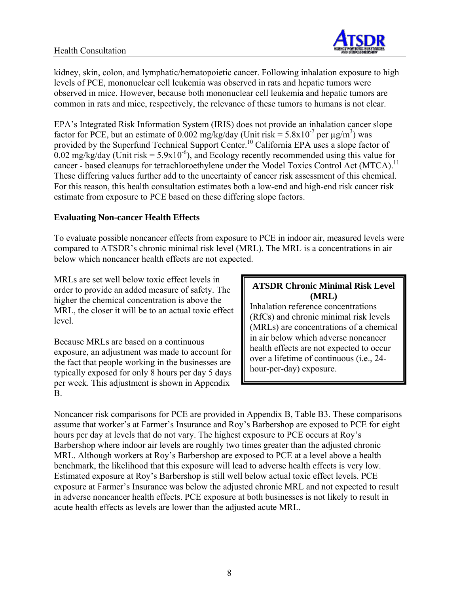

kidney, skin, colon, and lymphatic/hematopoietic cancer. Following inhalation exposure to high levels of PCE, mononuclear cell leukemia was observed in rats and hepatic tumors were observed in mice. However, because both mononuclear cell leukemia and hepatic tumors are common in rats and mice, respectively, the relevance of these tumors to humans is not clear.

EPA's Integrated Risk Information System (IRIS) does not provide an inhalation cancer slope factor for PCE, but an estimate of 0.002 mg/kg/day (Unit risk =  $5.8 \times 10^{-7}$  per  $\mu$ g/m<sup>3</sup>) was provided by the Superfund Technical Support Center.<sup>10</sup> California EPA uses a slope factor of 0.02 mg/kg/day (Unit risk =  $5.9x10^{-6}$ ), and Ecology recently recommended using this value for cancer - based cleanups for tetrachloroethylene under the Model Toxics Control Act (MTCA).<sup>11</sup> These differing values further add to the uncertainty of cancer risk assessment of this chemical. For this reason, this health consultation estimates both a low-end and high-end risk cancer risk estimate from exposure to PCE based on these differing slope factors.

#### **Evaluating Non-cancer Health Effects**

To evaluate possible noncancer effects from exposure to PCE in indoor air, measured levels were compared to ATSDR's chronic minimal risk level (MRL). The MRL is a concentrations in air below which noncancer health effects are not expected.

MRLs are set well below toxic effect levels in order to provide an added measure of safety. The higher the chemical concentration is above the MRL, the closer it will be to an actual toxic effect level.

Because MRLs are based on a continuous exposure, an adjustment was made to account for the fact that people working in the businesses are typically exposed for only 8 hours per day 5 days per week. This adjustment is shown in Appendix B.

#### **ATSDR Chronic Minimal Risk Level (MRL)**

Inhalation reference concentrations (RfCs) and chronic minimal risk levels (MRLs) are concentrations of a chemical in air below which adverse noncancer health effects are not expected to occur over a lifetime of continuous (i.e., 24 hour-per-day) exposure.

Noncancer risk comparisons for PCE are provided in Appendix B, Table B3. These comparisons assume that worker's at Farmer's Insurance and Roy's Barbershop are exposed to PCE for eight hours per day at levels that do not vary. The highest exposure to PCE occurs at Roy's Barbershop where indoor air levels are roughly two times greater than the adjusted chronic MRL. Although workers at Roy's Barbershop are exposed to PCE at a level above a health benchmark, the likelihood that this exposure will lead to adverse health effects is very low. Estimated exposure at Roy's Barbershop is still well below actual toxic effect levels. PCE exposure at Farmer's Insurance was below the adjusted chronic MRL and not expected to result in adverse noncancer health effects. PCE exposure at both businesses is not likely to result in acute health effects as levels are lower than the adjusted acute MRL.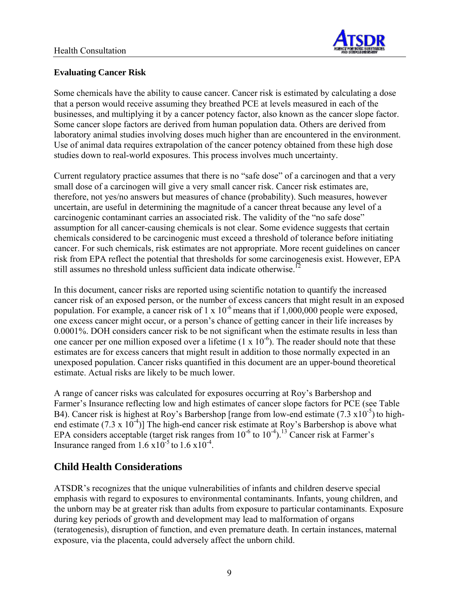

## **Evaluating Cancer Risk**

Some chemicals have the ability to cause cancer. Cancer risk is estimated by calculating a dose that a person would receive assuming they breathed PCE at levels measured in each of the businesses, and multiplying it by a cancer potency factor, also known as the cancer slope factor. Some cancer slope factors are derived from human population data. Others are derived from laboratory animal studies involving doses much higher than are encountered in the environment. Use of animal data requires extrapolation of the cancer potency obtained from these high dose studies down to real-world exposures. This process involves much uncertainty.

Current regulatory practice assumes that there is no "safe dose" of a carcinogen and that a very small dose of a carcinogen will give a very small cancer risk. Cancer risk estimates are, therefore, not yes/no answers but measures of chance (probability). Such measures, however uncertain, are useful in determining the magnitude of a cancer threat because any level of a carcinogenic contaminant carries an associated risk. The validity of the "no safe dose" assumption for all cancer-causing chemicals is not clear. Some evidence suggests that certain chemicals considered to be carcinogenic must exceed a threshold of tolerance before initiating cancer. For such chemicals, risk estimates are not appropriate. More recent guidelines on cancer risk from EPA reflect the potential that thresholds for some carcinogenesis exist. However, EPA still assumes no threshold unless sufficient data indicate otherwise.<sup>12</sup>

In this document, cancer risks are reported using scientific notation to quantify the increased cancer risk of an exposed person, or the number of excess cancers that might result in an exposed population. For example, a cancer risk of  $1 \times 10^{-6}$  means that if  $1,000,000$  people were exposed, one excess cancer might occur, or a person's chance of getting cancer in their life increases by 0.0001%. DOH considers cancer risk to be not significant when the estimate results in less than one cancer per one million exposed over a lifetime  $(1 \times 10^{-6})$ . The reader should note that these estimates are for excess cancers that might result in addition to those normally expected in an unexposed population. Cancer risks quantified in this document are an upper-bound theoretical estimate. Actual risks are likely to be much lower.

A range of cancer risks was calculated for exposures occurring at Roy's Barbershop and Farmer's Insurance reflecting low and high estimates of cancer slope factors for PCE (see Table B4). Cancer risk is highest at Roy's Barbershop [range from low-end estimate  $(7.3 \times 10^{-5})$  to highend estimate (7.3 x  $10^{-4}$ )] The high-end cancer risk estimate at Roy's Barbershop is above what EPA considers acceptable (target risk ranges from  $10^{-6}$  to  $10^{-4}$ ).<sup>13</sup> Cancer risk at Farmer's Insurance ranged from  $1.6 \times 10^{-5}$  to  $1.6 \times 10^{-4}$ .

# **Child Health Considerations**

ATSDR's recognizes that the unique vulnerabilities of infants and children deserve special emphasis with regard to exposures to environmental contaminants. Infants, young children, and the unborn may be at greater risk than adults from exposure to particular contaminants. Exposure during key periods of growth and development may lead to malformation of organs (teratogenesis), disruption of function, and even premature death. In certain instances, maternal exposure, via the placenta, could adversely affect the unborn child.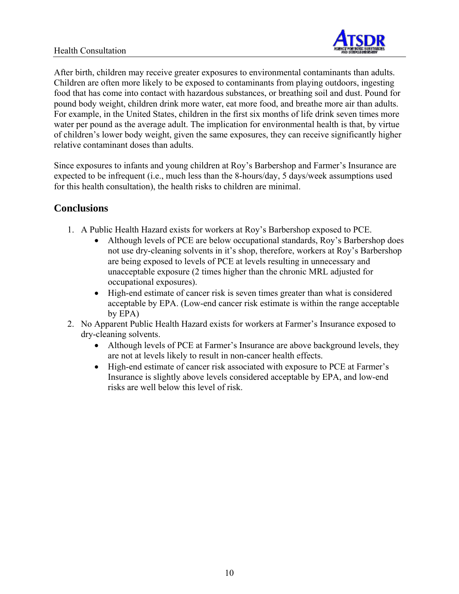

After birth, children may receive greater exposures to environmental contaminants than adults. Children are often more likely to be exposed to contaminants from playing outdoors, ingesting food that has come into contact with hazardous substances, or breathing soil and dust. Pound for pound body weight, children drink more water, eat more food, and breathe more air than adults. For example, in the United States, children in the first six months of life drink seven times more water per pound as the average adult. The implication for environmental health is that, by virtue of children's lower body weight, given the same exposures, they can receive significantly higher relative contaminant doses than adults.

Since exposures to infants and young children at Roy's Barbershop and Farmer's Insurance are expected to be infrequent (i.e., much less than the 8-hours/day, 5 days/week assumptions used for this health consultation), the health risks to children are minimal.

## **Conclusions**

- 1. A Public Health Hazard exists for workers at Roy's Barbershop exposed to PCE.
	- Although levels of PCE are below occupational standards, Roy's Barbershop does not use dry-cleaning solvents in it's shop, therefore, workers at Roy's Barbershop are being exposed to levels of PCE at levels resulting in unnecessary and unacceptable exposure (2 times higher than the chronic MRL adjusted for occupational exposures).
	- High-end estimate of cancer risk is seven times greater than what is considered acceptable by EPA. (Low-end cancer risk estimate is within the range acceptable by EPA)
- 2. No Apparent Public Health Hazard exists for workers at Farmer's Insurance exposed to dry-cleaning solvents.
	- Although levels of PCE at Farmer's Insurance are above background levels, they are not at levels likely to result in non-cancer health effects.
	- High-end estimate of cancer risk associated with exposure to PCE at Farmer's Insurance is slightly above levels considered acceptable by EPA, and low-end risks are well below this level of risk.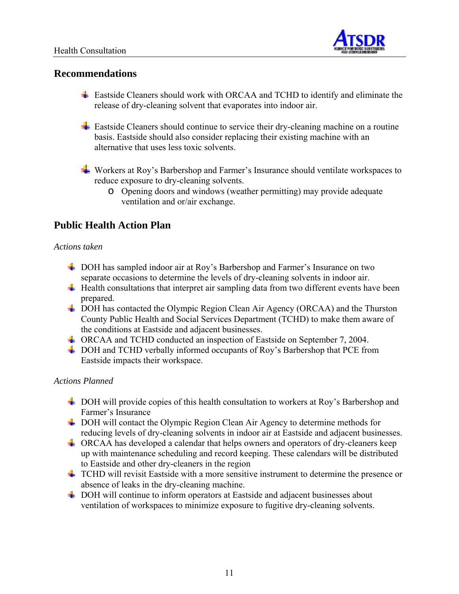

## **Recommendations**

- Eastside Cleaners should work with ORCAA and TCHD to identify and eliminate the release of dry-cleaning solvent that evaporates into indoor air.
- **Eastside Cleaners should continue to service their dry-cleaning machine on a routine** basis. Eastside should also consider replacing their existing machine with an alternative that uses less toxic solvents.
- ► Workers at Roy's Barbershop and Farmer's Insurance should ventilate workspaces to reduce exposure to dry-cleaning solvents.
	- o Opening doors and windows (weather permitting) may provide adequate ventilation and or/air exchange.

## **Public Health Action Plan**

#### *Actions taken*

- DOH has sampled indoor air at Roy's Barbershop and Farmer's Insurance on two separate occasions to determine the levels of dry-cleaning solvents in indoor air.
- $\ddot{\text{+}}$  Health consultations that interpret air sampling data from two different events have been prepared.
- $\overline{\phantom{a} \bullet}$  DOH has contacted the Olympic Region Clean Air Agency (ORCAA) and the Thurston County Public Health and Social Services Department (TCHD) to make them aware of the conditions at Eastside and adjacent businesses.
- ORCAA and TCHD conducted an inspection of Eastside on September 7, 2004.
- ↓ DOH and TCHD verbally informed occupants of Roy's Barbershop that PCE from Eastside impacts their workspace.

#### *Actions Planned*

- DOH will provide copies of this health consultation to workers at Roy's Barbershop and Farmer's Insurance
- ↓ DOH will contact the Olympic Region Clean Air Agency to determine methods for reducing levels of dry-cleaning solvents in indoor air at Eastside and adjacent businesses.
- ORCAA has developed a calendar that helps owners and operators of dry-cleaners keep up with maintenance scheduling and record keeping. These calendars will be distributed to Eastside and other dry-cleaners in the region
- $\pm$  TCHD will revisit Eastside with a more sensitive instrument to determine the presence or absence of leaks in the dry-cleaning machine.
- $\overline{+}$  DOH will continue to inform operators at Eastside and adjacent businesses about ventilation of workspaces to minimize exposure to fugitive dry-cleaning solvents.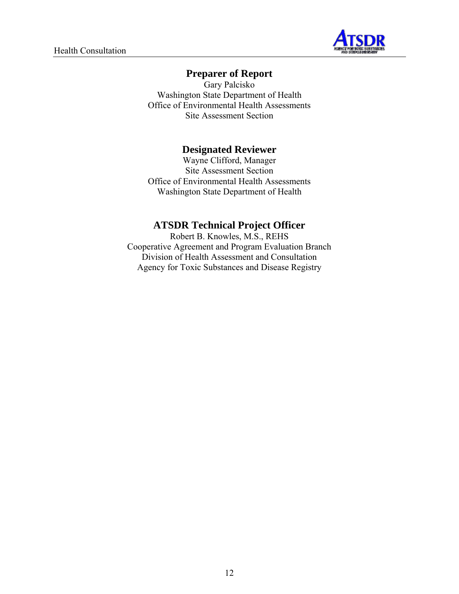

## **Preparer of Report**

Gary Palcisko Washington State Department of Health Office of Environmental Health Assessments Site Assessment Section

## **Designated Reviewer**

Wayne Clifford, Manager Site Assessment Section Office of Environmental Health Assessments Washington State Department of Health

## **ATSDR Technical Project Officer**

Robert B. Knowles, M.S., REHS Cooperative Agreement and Program Evaluation Branch Division of Health Assessment and Consultation Agency for Toxic Substances and Disease Registry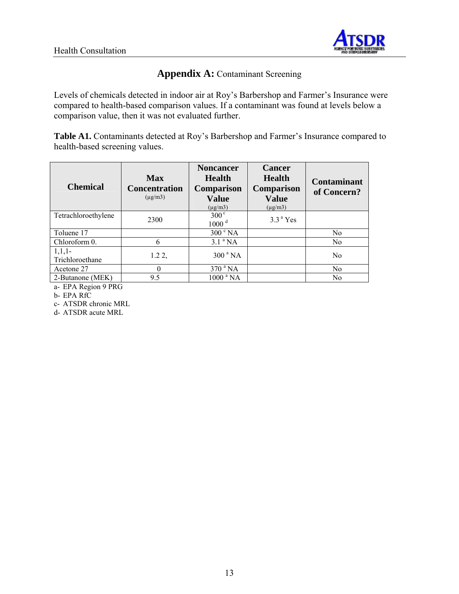

## **Appendix A:** Contaminant Screening

Levels of chemicals detected in indoor air at Roy's Barbershop and Farmer's Insurance were compared to health-based comparison values. If a contaminant was found at levels below a comparison value, then it was not evaluated further.

**Table A1.** Contaminants detected at Roy's Barbershop and Farmer's Insurance compared to health-based screening values.

| <b>Chemical</b>             | <b>Max</b><br><b>Concentration</b><br>$(\mu$ g/m $3)$ | <b>Noncancer</b><br><b>Health</b><br><b>Comparison</b><br><b>Value</b><br>$(\mu$ g/m $3)$ | <b>Cancer</b><br><b>Health</b><br><b>Comparison</b><br><b>Value</b><br>$(\mu g/m3)$ | <b>Contaminant</b><br>of Concern? |
|-----------------------------|-------------------------------------------------------|-------------------------------------------------------------------------------------------|-------------------------------------------------------------------------------------|-----------------------------------|
| Tetrachloroethylene         | 2300                                                  | $300^{\circ}$<br>$1000$ <sup>d</sup>                                                      | $3.3a$ Yes                                                                          |                                   |
| Toluene 17                  |                                                       | $300 \degree$ NA                                                                          |                                                                                     | N <sub>0</sub>                    |
| Chloroform 0.               | 6                                                     | $3.1$ <sup>a</sup> NA                                                                     |                                                                                     | N <sub>0</sub>                    |
| $1,1,1-$<br>Trichloroethane | $1.22$ ,                                              | 300 <sup>a</sup> NA                                                                       |                                                                                     | N <sub>0</sub>                    |
| Acetone 27                  | 0                                                     | $370$ <sup>a</sup> NA                                                                     |                                                                                     | N <sub>0</sub>                    |
| 2-Butanone (MEK)            | 9.5                                                   | 1000 <sup>a</sup> NA                                                                      |                                                                                     | No                                |

a- EPA Region 9 PRG

b- EPA RfC

c- ATSDR chronic MRL

d- ATSDR acute MRL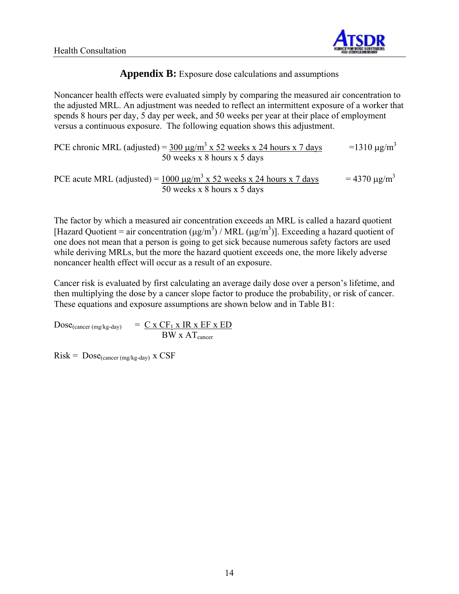

## **Appendix B:** Exposure dose calculations and assumptions

Noncancer health effects were evaluated simply by comparing the measured air concentration to the adjusted MRL. An adjustment was needed to reflect an intermittent exposure of a worker that spends 8 hours per day, 5 day per week, and 50 weeks per year at their place of employment versus a continuous exposure. The following equation shows this adjustment.

PCE chronic MRL (adjusted) =  $\frac{300 \text{ µg/m}^3 \text{ x } 52 \text{ weeks x } 24 \text{ hours x } 7 \text{ days}}{1310 \text{ µg/m}^3 \text{ s}}$ 50 weeks x 8 hours x 5 days

PCE acute MRL (adjusted) = 
$$
\frac{1000 \text{ µg/m}^3 \times 52 \text{ weeks} \times 24 \text{ hours} \times 7 \text{ days}}{50 \text{ weeks} \times 8 \text{ hours} \times 5 \text{ days}} = 4370 \text{ µg/m}^3
$$

The factor by which a measured air concentration exceeds an MRL is called a hazard quotient [Hazard Quotient = air concentration ( $\mu$ g/m<sup>3</sup>) / MRL ( $\mu$ g/m<sup>3</sup>)]. Exceeding a hazard quotient of one does not mean that a person is going to get sick because numerous safety factors are used while deriving MRLs, but the more the hazard quotient exceeds one, the more likely adverse noncancer health effect will occur as a result of an exposure.

Cancer risk is evaluated by first calculating an average daily dose over a person's lifetime, and then multiplying the dose by a cancer slope factor to produce the probability, or risk of cancer. These equations and exposure assumptions are shown below and in Table B1:

 $Dose_{(cancer (mg/kg-day))} = C \times CF_1 \times IR \times EF \times ED$  $\overline{BW}$  x  $AT$ <sub>cancer</sub>

 $Risk = Doese_{(cancer (mg/kg-day) }$  x CSF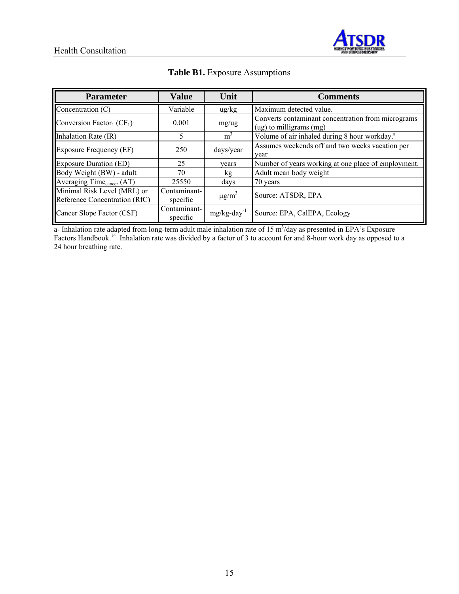

| <b>Parameter</b>                                             | <b>Value</b>             | Unit                       | <b>Comments</b>                                                                   |
|--------------------------------------------------------------|--------------------------|----------------------------|-----------------------------------------------------------------------------------|
| Concentration (C)                                            | Variable                 | $\frac{u g}{k g}$          | Maximum detected value.                                                           |
| Conversion Factor <sub>1</sub> ( $CF1$ )                     | 0.001                    | mg/ug                      | Converts contaminant concentration from micrograms<br>$(ug)$ to milligrams $(mg)$ |
| Inhalation Rate (IR)                                         | 5.                       | $m^3$                      | Volume of air inhaled during 8 hour workday. <sup>a</sup>                         |
| Exposure Frequency (EF)                                      | 250                      | days/year                  | Assumes weekends off and two weeks vacation per<br>vear                           |
| <b>Exposure Duration (ED)</b>                                | 25                       | vears                      | Number of years working at one place of employment.                               |
| Body Weight (BW) - adult                                     | 70                       | kg                         | Adult mean body weight                                                            |
| Averaging Time <sub>cancer</sub> (AT)                        | 25550                    | days                       | 70 years                                                                          |
| Minimal Risk Level (MRL) or<br>Reference Concentration (RfC) | Contaminant-<br>specific | $\mu$ g/m <sup>3</sup>     | Source: ATSDR, EPA                                                                |
| Cancer Slope Factor (CSF)                                    | Contaminant-<br>specific | $mg/kg$ -day <sup>-1</sup> | Source: EPA, CalEPA, Ecology                                                      |

### **Table B1.** Exposure Assumptions

a- Inhalation rate adapted from long-term adult male inhalation rate of  $15 \text{ m}^3$ /day as presented in EPA's Exposure Factors Handbook.<sup>14</sup> Inhalation rate was divided by a factor of 3 to account for and 8-hour work day as opposed to a 24 hour breathing rate.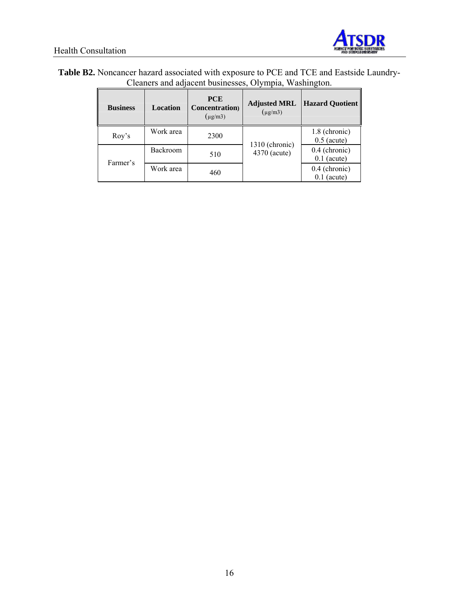

| Table B2. Noncancer hazard associated with exposure to PCE and TCE and Eastside Laundry- |  |
|------------------------------------------------------------------------------------------|--|
| Cleaners and adjacent businesses, Olympia, Washington.                                   |  |

| <b>Business</b> | <b>Location</b> | <b>PCE</b><br><b>Concentration</b> )<br>$(\mu$ g/m3) | <b>Adjusted MRL</b><br>$(\mu$ g/m3) | <b>Hazard Quotient</b>           |
|-----------------|-----------------|------------------------------------------------------|-------------------------------------|----------------------------------|
| Roy's           | Work area       | 2300                                                 |                                     | 1.8 (chronic)<br>$0.5$ (acute)   |
| Farmer's        | Backroom        | 510                                                  | 1310 (chronic)<br>4370 (acute)      | $0.4$ (chronic)<br>$0.1$ (acute) |
|                 | Work area       | 460                                                  |                                     | $0.4$ (chronic)<br>$0.1$ (acute) |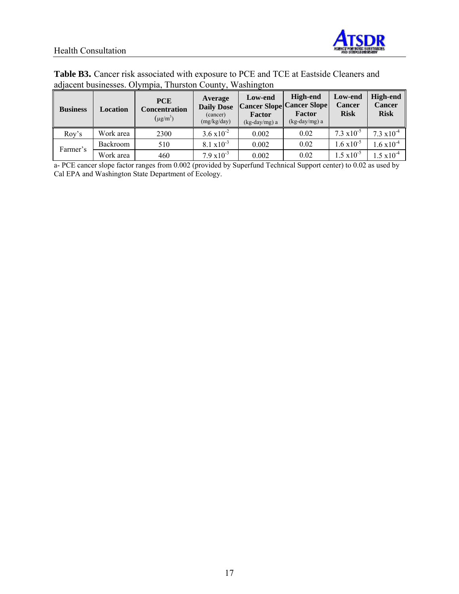

## Health Consultation

| <b>Table B3.</b> Cancer risk associated with exposure to PCE and TCE at Eastside Cleaners and |
|-----------------------------------------------------------------------------------------------|
| adjacent businesses. Olympia, Thurston County, Washington                                     |

| <b>Business</b> | Location        | <b>PCE</b><br><b>Concentration</b><br>$(\mu$ g/m <sup>3</sup> ) | Average<br><b>Daily Dose</b><br>(cancer)<br>(mg/kg/day) | Low-end<br>Factor<br>$(kg-day/mg)$ a | High-end<br><b>Cancer Slope Cancer Slope</b><br>Factor<br>$(kg-day/mg) a$ | Low-end<br><b>Cancer</b><br><b>Risk</b> | <b>High-end</b><br><b>Cancer</b><br><b>Risk</b> |
|-----------------|-----------------|-----------------------------------------------------------------|---------------------------------------------------------|--------------------------------------|---------------------------------------------------------------------------|-----------------------------------------|-------------------------------------------------|
| Rov's           | Work area       | 2300                                                            | $3.6 \times 10^{-2}$                                    | 0.002                                | 0.02                                                                      | 7.3 $x10^{-5}$                          | $7.3 \times 10^{-4}$                            |
| Farmer's        | <b>Backroom</b> | 510                                                             | $8.1 \times 10^{-3}$                                    | 0.002                                | 0.02                                                                      | $1.6 \times 10^{-5}$                    | $1.6 \times 10^{-4}$                            |
|                 | Work area       | 460                                                             | $7.9 \times 10^{-3}$                                    | 0.002                                | 0.02                                                                      | $1.5 \times 10^{-5}$                    | $1.5 \times 10^{-4}$                            |

a- PCE cancer slope factor ranges from 0.002 (provided by Superfund Technical Support center) to 0.02 as used by Cal EPA and Washington State Department of Ecology.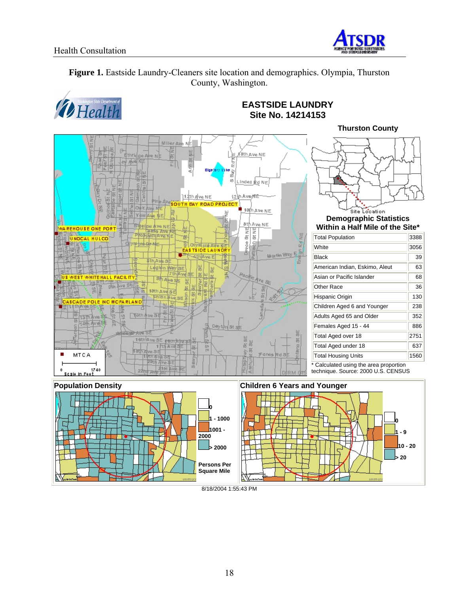

**Figure 1.** Eastside Laundry-Cleaners site location and demographics. Olympia, Thurston County, Washington.



## **EASTSIDE LAUNDRY Site No. 14214153**





#### 8/18/2004 1:55:43 PM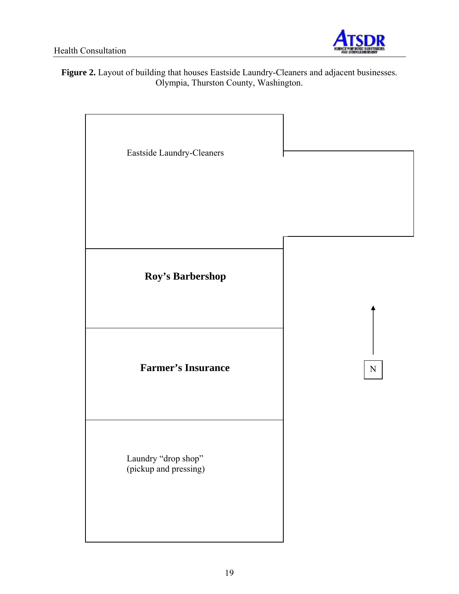

**Figure 2.** Layout of building that houses Eastside Laundry-Cleaners and adjacent businesses. Olympia, Thurston County, Washington.

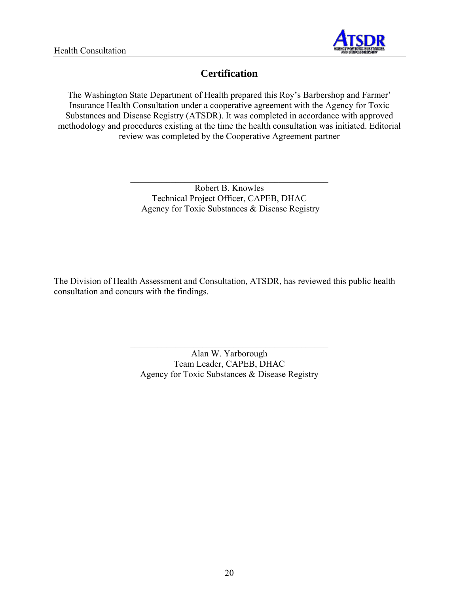

# **Certification**

The Washington State Department of Health prepared this Roy's Barbershop and Farmer' Insurance Health Consultation under a cooperative agreement with the Agency for Toxic Substances and Disease Registry (ATSDR). It was completed in accordance with approved methodology and procedures existing at the time the health consultation was initiated. Editorial review was completed by the Cooperative Agreement partner

> Robert B. Knowles Technical Project Officer, CAPEB, DHAC Agency for Toxic Substances & Disease Registry

\_\_\_\_\_\_\_\_\_\_\_\_\_\_\_\_\_\_\_\_\_\_\_\_\_\_\_\_\_\_\_\_\_\_\_\_\_\_\_\_\_\_\_\_

The Division of Health Assessment and Consultation, ATSDR, has reviewed this public health consultation and concurs with the findings.

> Alan W. Yarborough Team Leader, CAPEB, DHAC Agency for Toxic Substances & Disease Registry

\_\_\_\_\_\_\_\_\_\_\_\_\_\_\_\_\_\_\_\_\_\_\_\_\_\_\_\_\_\_\_\_\_\_\_\_\_\_\_\_\_\_\_\_